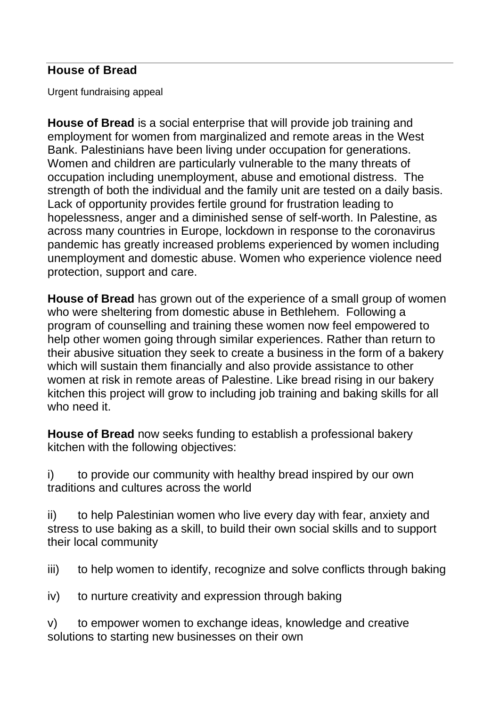## **House of Bread**

Urgent fundraising appeal

**House of Bread** is a social enterprise that will provide job training and employment for women from marginalized and remote areas in the West Bank. Palestinians have been living under occupation for generations. Women and children are particularly vulnerable to the many threats of occupation including unemployment, abuse and emotional distress. The strength of both the individual and the family unit are tested on a daily basis. Lack of opportunity provides fertile ground for frustration leading to hopelessness, anger and a diminished sense of self-worth. In Palestine, as across many countries in Europe, lockdown in response to the coronavirus pandemic has greatly increased problems experienced by women including unemployment and domestic abuse. Women who experience violence need protection, support and care.

**House of Bread** has grown out of the experience of a small group of women who were sheltering from domestic abuse in Bethlehem. Following a program of counselling and training these women now feel empowered to help other women going through similar experiences. Rather than return to their abusive situation they seek to create a business in the form of a bakery which will sustain them financially and also provide assistance to other women at risk in remote areas of Palestine. Like bread rising in our bakery kitchen this project will grow to including job training and baking skills for all who need it.

**House of Bread** now seeks funding to establish a professional bakery kitchen with the following objectives:

i) to provide our community with healthy bread inspired by our own traditions and cultures across the world

ii) to help Palestinian women who live every day with fear, anxiety and stress to use baking as a skill, to build their own social skills and to support their local community

iii) to help women to identify, recognize and solve conflicts through baking

iv) to nurture creativity and expression through baking

v) to empower women to exchange ideas, knowledge and creative solutions to starting new businesses on their own